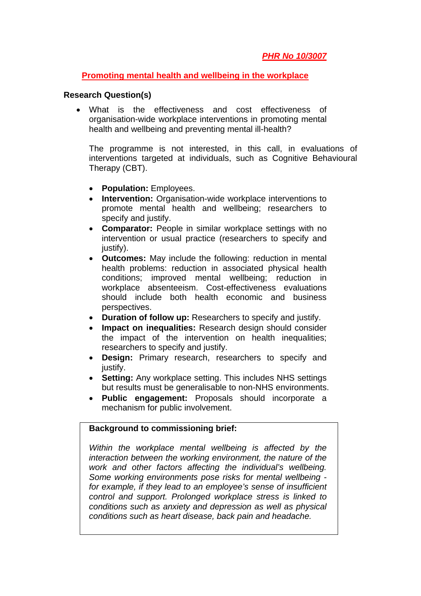## **Promoting mental health and wellbeing in the workplace**

## **Research Question(s)**

 What is the effectiveness and cost effectiveness of organisation-wide workplace interventions in promoting mental health and wellbeing and preventing mental ill-health?

The programme is not interested, in this call, in evaluations of interventions targeted at individuals, such as Cognitive Behavioural Therapy (CBT).

- **Population:** Employees.
- **Intervention:** Organisation-wide workplace interventions to promote mental health and wellbeing; researchers to specify and justify.
- **Comparator:** People in similar workplace settings with no intervention or usual practice (researchers to specify and justify).
- **Outcomes:** May include the following: reduction in mental health problems: reduction in associated physical health conditions; improved mental wellbeing; reduction in workplace absenteeism. Cost-effectiveness evaluations should include both health economic and business perspectives.
- **Duration of follow up:** Researchers to specify and justify.
- **Impact on inequalities:** Research design should consider the impact of the intervention on health inequalities; researchers to specify and justify.
- **Design:** Primary research, researchers to specify and justify.
- **Setting:** Any workplace setting. This includes NHS settings but results must be generalisable to non-NHS environments.
- **Public engagement:** Proposals should incorporate a mechanism for public involvement.

## **Background to commissioning brief:**

*Within the workplace mental wellbeing is affected by the interaction between the working environment, the nature of the work and other factors affecting the individual's wellbeing. Some working environments pose risks for mental wellbeing for example, if they lead to an employee's sense of insufficient control and support. Prolonged workplace stress is linked to conditions such as anxiety and depression as well as physical conditions such as heart disease, back pain and headache.*